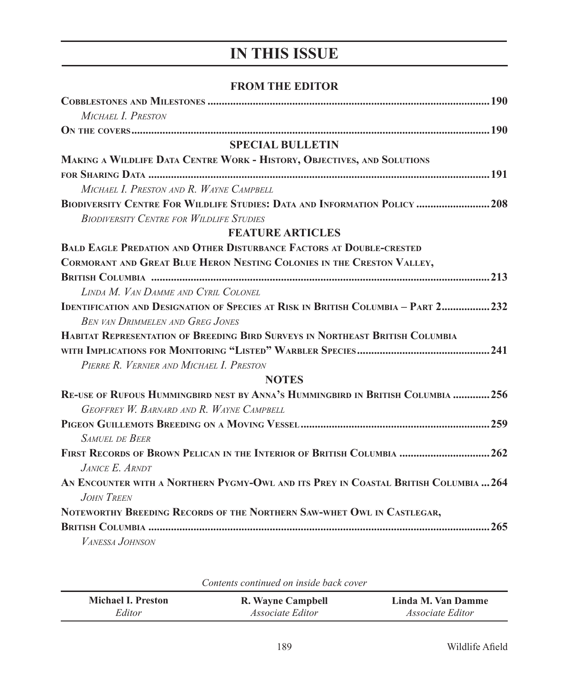## **IN THIS ISSUE**

## **FROM THE EDITOR**

| MICHAEL I. PRESTON                                                                   |
|--------------------------------------------------------------------------------------|
|                                                                                      |
| <b>SPECIAL BULLETIN</b>                                                              |
| MAKING A WILDLIFE DATA CENTRE WORK - HISTORY, OBJECTIVES, AND SOLUTIONS              |
|                                                                                      |
| MICHAEL I. PRESTON AND R. WAYNE CAMPBELL                                             |
| BIODIVERSITY CENTRE FOR WILDLIFE STUDIES: DATA AND INFORMATION POLICY  208           |
| <b>BIODIVERSITY CENTRE FOR WILDLIFE STUDIES</b>                                      |
| <b>FEATURE ARTICLES</b>                                                              |
| <b>BALD EAGLE PREDATION AND OTHER DISTURBANCE FACTORS AT DOUBLE-CRESTED</b>          |
| CORMORANT AND GREAT BLUE HERON NESTING COLONIES IN THE CRESTON VALLEY,               |
|                                                                                      |
| LINDA M. VAN DAMME AND CYRIL COLONEL                                                 |
| IDENTIFICATION AND DESIGNATION OF SPECIES AT RISK IN BRITISH COLUMBIA - PART 2 232   |
| <b>BEN VAN DRIMMELEN AND GREG JONES</b>                                              |
| <b>HABITAT REPRESENTATION OF BREEDING BIRD SURVEYS IN NORTHEAST BRITISH COLUMBIA</b> |
|                                                                                      |
| PIERRE R. VERNIER AND MICHAEL I. PRESTON                                             |
| <b>NOTES</b>                                                                         |
| RE-USE OF RUFOUS HUMMINGBIRD NEST BY ANNA'S HUMMINGBIRD IN BRITISH COLUMBIA  256     |
| GEOFFREY W. BARNARD AND R. WAYNE CAMPBELL                                            |
|                                                                                      |
| <b>SAMUEL DE BEER</b>                                                                |
| FIRST RECORDS OF BROWN PELICAN IN THE INTERIOR OF BRITISH COLUMBIA  262              |
| $J$ <i>ANICE</i> $E$ <i>ARNDT</i>                                                    |
| AN ENCOUNTER WITH A NORTHERN PYGMY-OWL AND ITS PREY IN COASTAL BRITISH COLUMBIA  264 |
| <b>JOHN TREEN</b>                                                                    |
| NOTEWORTHY BREEDING RECORDS OF THE NORTHERN SAW-WHET OWL IN CASTLEGAR,               |
|                                                                                      |
| VANESSA JOHNSON                                                                      |

| <u>UUINDIND BUINNINNDN UIN NIDIND UNDIVERTI</u> |                         |                         |
|-------------------------------------------------|-------------------------|-------------------------|
| Michael I. Preston                              | R. Wayne Campbell       | Linda M. Van Damme      |
| Editor                                          | <i>Associate Editor</i> | <i>Associate Editor</i> |

*Contents continued on inside back cover*